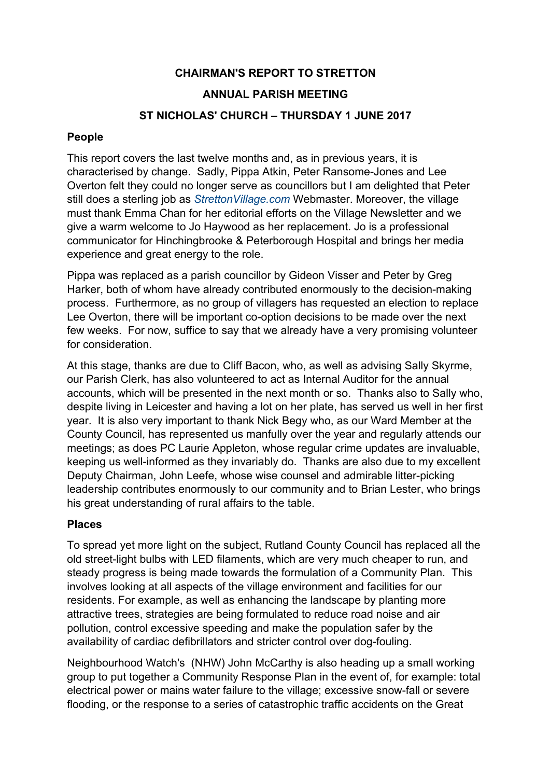# **CHAIRMAN'S REPORT TO STRETTON**

## **ANNUAL PARISH MEETING**

## **ST NICHOLAS' CHURCH – THURSDAY 1 JUNE 2017**

#### **People**

This report covers the last twelve months and, as in previous years, it is characterised by change. Sadly, Pippa Atkin, Peter Ransome-Jones and Lee Overton felt they could no longer serve as councillors but I am delighted that Peter still does a sterling job as *StrettonVillage.com* Webmaster. Moreover, the village must thank Emma Chan for her editorial efforts on the Village Newsletter and we give a warm welcome to Jo Haywood as her replacement. Jo is a professional communicator for Hinchingbrooke & Peterborough Hospital and brings her media experience and great energy to the role.

Pippa was replaced as a parish councillor by Gideon Visser and Peter by Greg Harker, both of whom have already contributed enormously to the decision-making process. Furthermore, as no group of villagers has requested an election to replace Lee Overton, there will be important co-option decisions to be made over the next few weeks. For now, suffice to say that we already have a very promising volunteer for consideration.

At this stage, thanks are due to Cliff Bacon, who, as well as advising Sally Skyrme, our Parish Clerk, has also volunteered to act as Internal Auditor for the annual accounts, which will be presented in the next month or so. Thanks also to Sally who, despite living in Leicester and having a lot on her plate, has served us well in her first year. It is also very important to thank Nick Begy who, as our Ward Member at the County Council, has represented us manfully over the year and regularly attends our meetings; as does PC Laurie Appleton, whose regular crime updates are invaluable, keeping us well-informed as they invariably do. Thanks are also due to my excellent Deputy Chairman, John Leefe, whose wise counsel and admirable litter-picking leadership contributes enormously to our community and to Brian Lester, who brings his great understanding of rural affairs to the table.

### **Places**

To spread yet more light on the subject, Rutland County Council has replaced all the old street-light bulbs with LED filaments, which are very much cheaper to run, and steady progress is being made towards the formulation of a Community Plan. This involves looking at all aspects of the village environment and facilities for our residents. For example, as well as enhancing the landscape by planting more attractive trees, strategies are being formulated to reduce road noise and air pollution, control excessive speeding and make the population safer by the availability of cardiac defibrillators and stricter control over dog-fouling.

Neighbourhood Watch's (NHW) John McCarthy is also heading up a small working group to put together a Community Response Plan in the event of, for example: total electrical power or mains water failure to the village; excessive snow-fall or severe flooding, or the response to a series of catastrophic traffic accidents on the Great